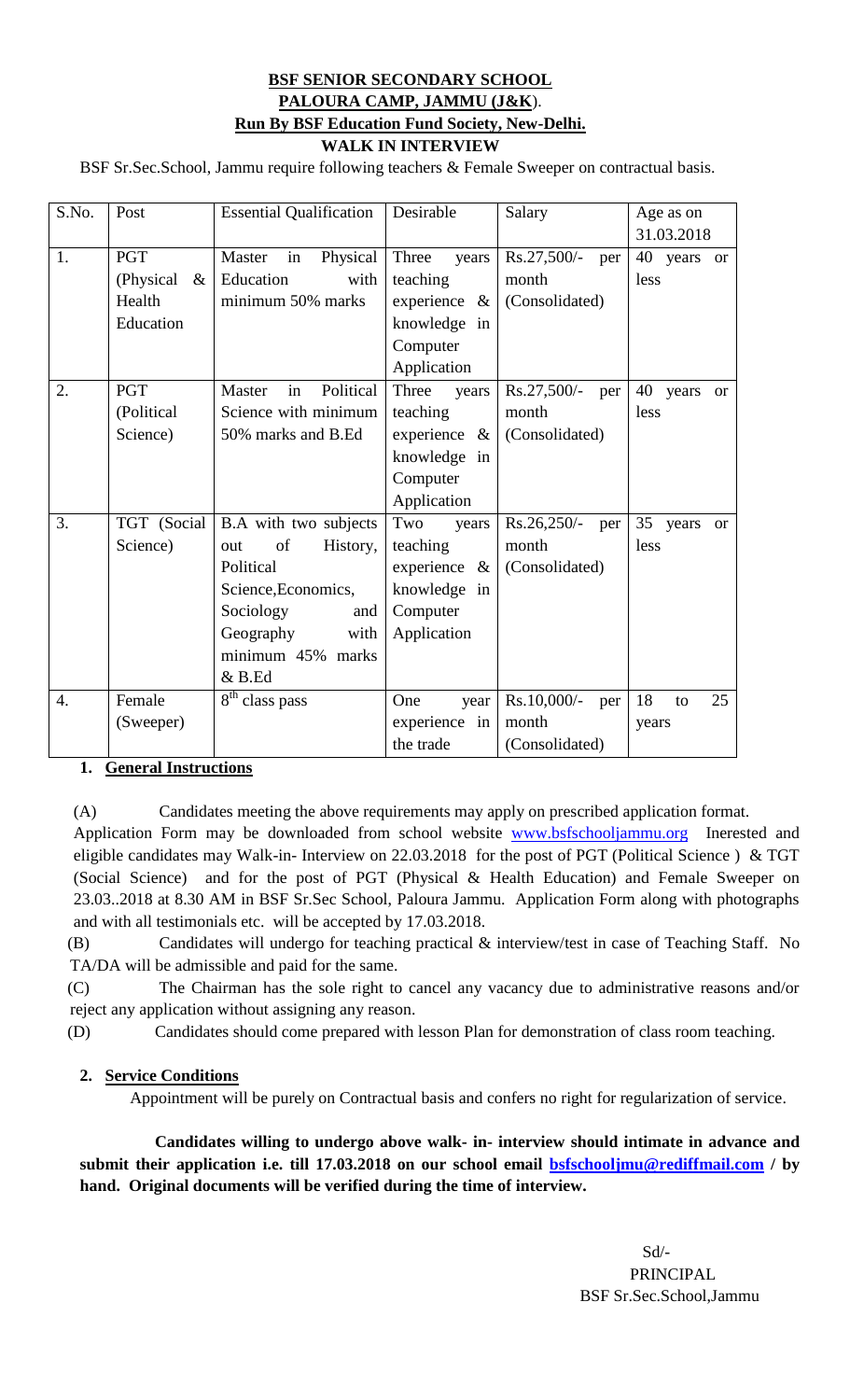## **BSF SENIOR SECONDARY SCHOOL PALOURA CAMP, JAMMU (J&K**). **Run By BSF Education Fund Society, New-Delhi. WALK IN INTERVIEW**

BSF Sr.Sec.School, Jammu require following teachers & Female Sweeper on contractual basis.

| S.No.            | Post              | <b>Essential Qualification</b> | Desirable          | Salary               | Age as on                |
|------------------|-------------------|--------------------------------|--------------------|----------------------|--------------------------|
|                  |                   |                                |                    |                      | 31.03.2018               |
| 1.               | <b>PGT</b>        | Physical<br>Master<br>in       | Three<br>years     | $Rs.27,500/-$<br>per | 40<br>years or           |
|                  | (Physical<br>$\&$ | Education<br>with              | teaching           | month                | less                     |
|                  | Health            | minimum 50% marks              | experience<br>$\&$ | (Consolidated)       |                          |
|                  | Education         |                                | knowledge in       |                      |                          |
|                  |                   |                                | Computer           |                      |                          |
|                  |                   |                                | Application        |                      |                          |
| 2.               | <b>PGT</b>        | Political<br>in<br>Master      | Three<br>years     | $Rs.27,500/-$<br>per | 40<br>years<br><b>or</b> |
|                  | (Political        | Science with minimum           | teaching           | month                | less                     |
|                  | Science)          | 50% marks and B.Ed             | experience<br>$\&$ | (Consolidated)       |                          |
|                  |                   |                                | knowledge in       |                      |                          |
|                  |                   |                                | Computer           |                      |                          |
|                  |                   |                                | Application        |                      |                          |
| $\overline{3}$ . | TGT (Social       | B.A with two subjects          | Two<br>years       | $Rs.26,250/-$<br>per | 35 years<br><b>or</b>    |
|                  | Science)          | of<br>History,<br>out          | teaching           | month                | less                     |
|                  |                   | Political                      | experience $\&$    | (Consolidated)       |                          |
|                  |                   | Science, Economics,            | knowledge in       |                      |                          |
|                  |                   | Sociology<br>and               | Computer           |                      |                          |
|                  |                   | Geography<br>with              | Application        |                      |                          |
|                  |                   | minimum 45% marks              |                    |                      |                          |
|                  |                   | $&$ B.Ed                       |                    |                      |                          |
| $\overline{4}$ . | Female            | $\overline{8^{th}}$ class pass | One<br>year        | Rs.10,000/-<br>per   | 25<br>18<br>to           |
|                  | (Sweeper)         |                                | experience in      | month                | years                    |
|                  |                   |                                | the trade          | (Consolidated)       |                          |

### **1. General Instructions**

(A) Candidates meeting the above requirements may apply on prescribed application format.

Application Form may be downloaded from school website [www.bsfschooljammu.org](http://www.bsfschooljammu.org/) Inerested and eligible candidates may Walk-in- Interview on 22.03.2018 for the post of PGT (Political Science ) & TGT (Social Science) and for the post of PGT (Physical & Health Education) and Female Sweeper on 23.03..2018 at 8.30 AM in BSF Sr.Sec School, Paloura Jammu. Application Form along with photographs and with all testimonials etc. will be accepted by 17.03.2018.

(B) Candidates will undergo for teaching practical & interview/test in case of Teaching Staff. No TA/DA will be admissible and paid for the same.

(C) The Chairman has the sole right to cancel any vacancy due to administrative reasons and/or reject any application without assigning any reason.

(D) Candidates should come prepared with lesson Plan for demonstration of class room teaching.

### **2. Service Conditions**

Appointment will be purely on Contractual basis and confers no right for regularization of service.

 **Candidates willing to undergo above walk- in- interview should intimate in advance and submit their application i.e. till 17.03.2018 on our school email [bsfschooljmu@rediffmail.com](mailto:bsfschooljmu@rediffmail.com) / by hand. Original documents will be verified during the time of interview.**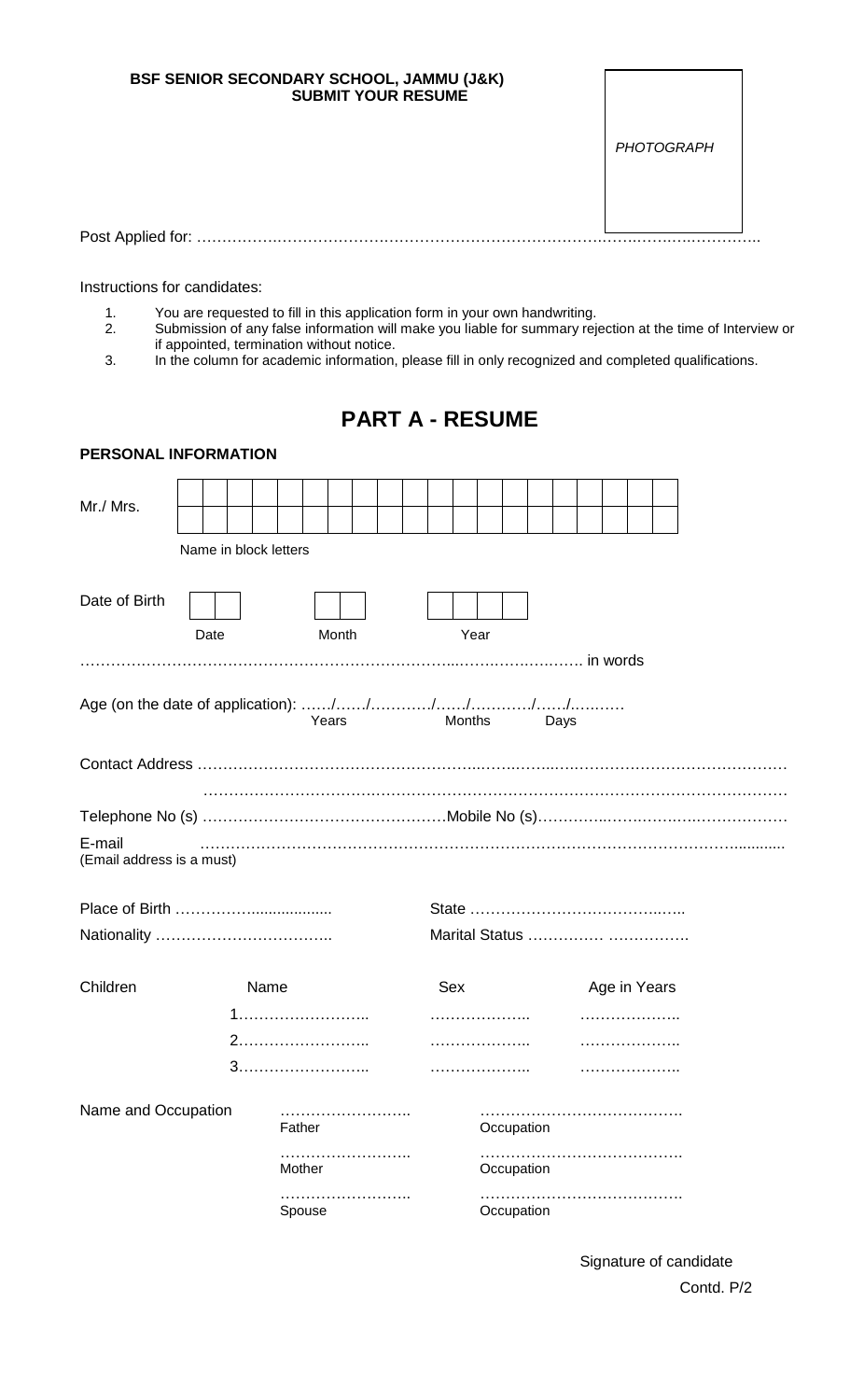| BSF SENIOR SECONDARY SCHOOL, JAMMU (J&K)<br><b>SUBMIT YOUR RESUME</b> |            |  |
|-----------------------------------------------------------------------|------------|--|
|                                                                       | PHOTOGRAPH |  |
|                                                                       |            |  |
| Post Applied for:                                                     |            |  |

Instructions for candidates:

- 1. You are requested to fill in this application form in your own handwriting.
- 2. Submission of any false information will make you liable for summary rejection at the time of Interview or if appointed, termination without notice.
- 3. In the column for academic information, please fill in only recognized and completed qualifications.

## **PART A - RESUME**

| PERSONAL INFORMATION                |                       |        |        |   |  |                |            |      |              |  |  |  |
|-------------------------------------|-----------------------|--------|--------|---|--|----------------|------------|------|--------------|--|--|--|
| Mr./ Mrs.                           |                       |        |        |   |  |                |            |      |              |  |  |  |
|                                     | Name in block letters |        |        |   |  |                |            |      |              |  |  |  |
| Date of Birth                       | Date                  |        | Month  |   |  | Year           |            |      |              |  |  |  |
|                                     |                       |        |        |   |  |                |            |      |              |  |  |  |
|                                     |                       |        | Years  |   |  | Months         |            | Days |              |  |  |  |
|                                     |                       |        |        |   |  |                |            |      |              |  |  |  |
|                                     |                       |        |        |   |  |                |            |      |              |  |  |  |
|                                     |                       |        |        |   |  |                |            |      |              |  |  |  |
| E-mail<br>(Email address is a must) |                       |        |        |   |  |                |            |      |              |  |  |  |
|                                     |                       |        |        |   |  |                |            |      |              |  |  |  |
|                                     |                       |        |        |   |  | Marital Status |            |      |              |  |  |  |
|                                     |                       |        |        |   |  |                |            |      |              |  |  |  |
| Children                            |                       | Name   |        |   |  | Sex            |            |      | Age in Years |  |  |  |
|                                     |                       |        |        |   |  | .              |            |      |              |  |  |  |
|                                     |                       |        |        |   |  |                |            |      |              |  |  |  |
|                                     |                       |        |        |   |  |                |            |      |              |  |  |  |
| Name and Occupation                 |                       | Father | .      |   |  |                | Occupation |      |              |  |  |  |
|                                     |                       |        | Mother |   |  |                | Occupation |      |              |  |  |  |
|                                     |                       |        | Spouse | . |  |                | Occupation |      |              |  |  |  |

Signature of candidate Contd. P/2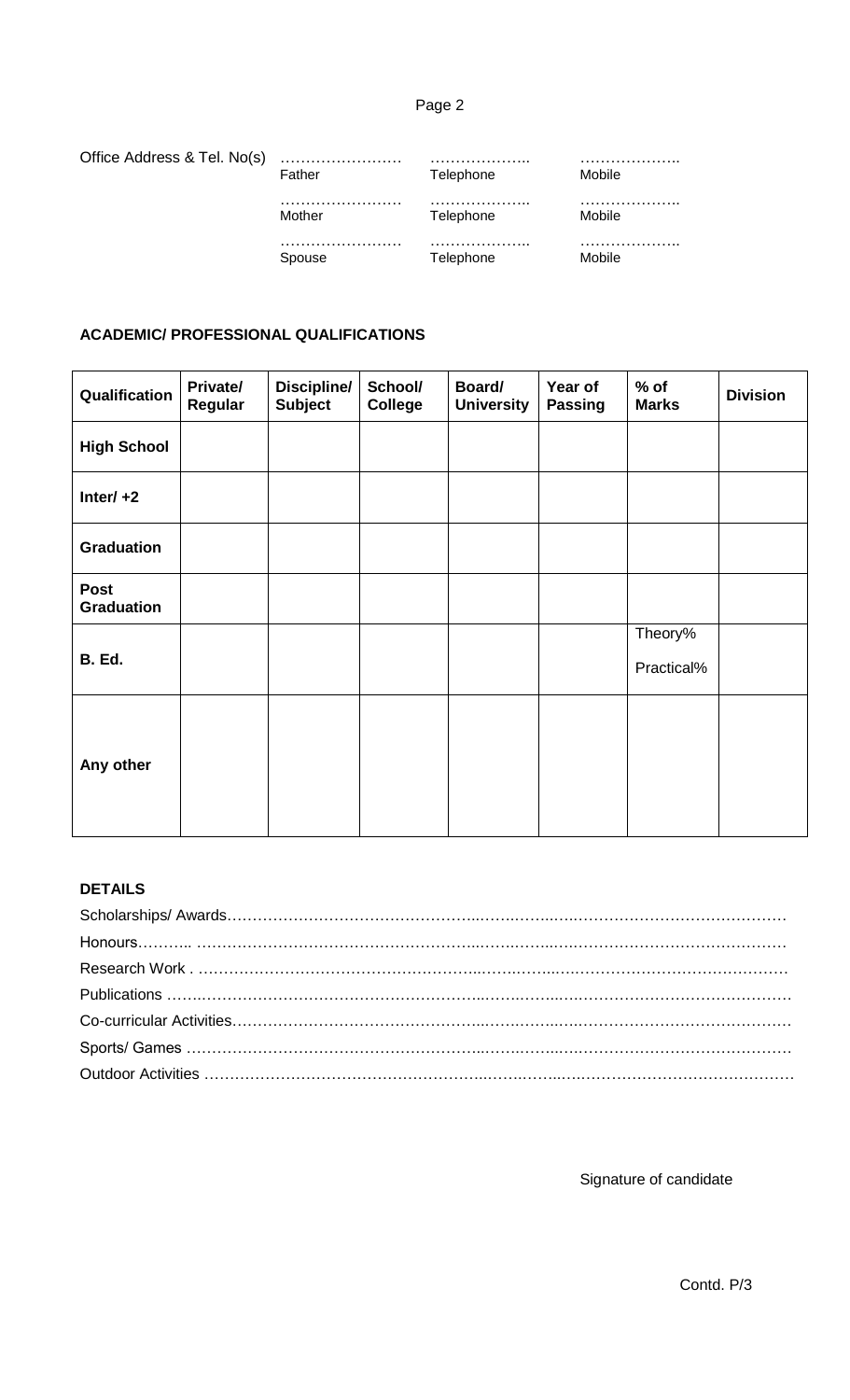## Page 2

| Office Address & Tel. No(s) |        |                       |        |
|-----------------------------|--------|-----------------------|--------|
|                             | Father | Telephone             | Mobile |
|                             |        | .                     |        |
|                             | Mother | Telephone             | Mobile |
|                             |        | <sup>-</sup> elephone |        |

## **ACADEMIC/ PROFESSIONAL QUALIFICATIONS**

| Qualification                    | Private/<br>Regular | Discipline/<br><b>Subject</b> | School/<br><b>College</b> | Board/<br><b>University</b> | Year of<br><b>Passing</b> | $%$ of<br><b>Marks</b> | <b>Division</b> |
|----------------------------------|---------------------|-------------------------------|---------------------------|-----------------------------|---------------------------|------------------------|-----------------|
| <b>High School</b>               |                     |                               |                           |                             |                           |                        |                 |
| Inter/ $+2$                      |                     |                               |                           |                             |                           |                        |                 |
| <b>Graduation</b>                |                     |                               |                           |                             |                           |                        |                 |
| <b>Post</b><br><b>Graduation</b> |                     |                               |                           |                             |                           |                        |                 |
| <b>B.</b> Ed.                    |                     |                               |                           |                             |                           | Theory%<br>Practical%  |                 |
| Any other                        |                     |                               |                           |                             |                           |                        |                 |

## **DETAILS**

Signature of candidate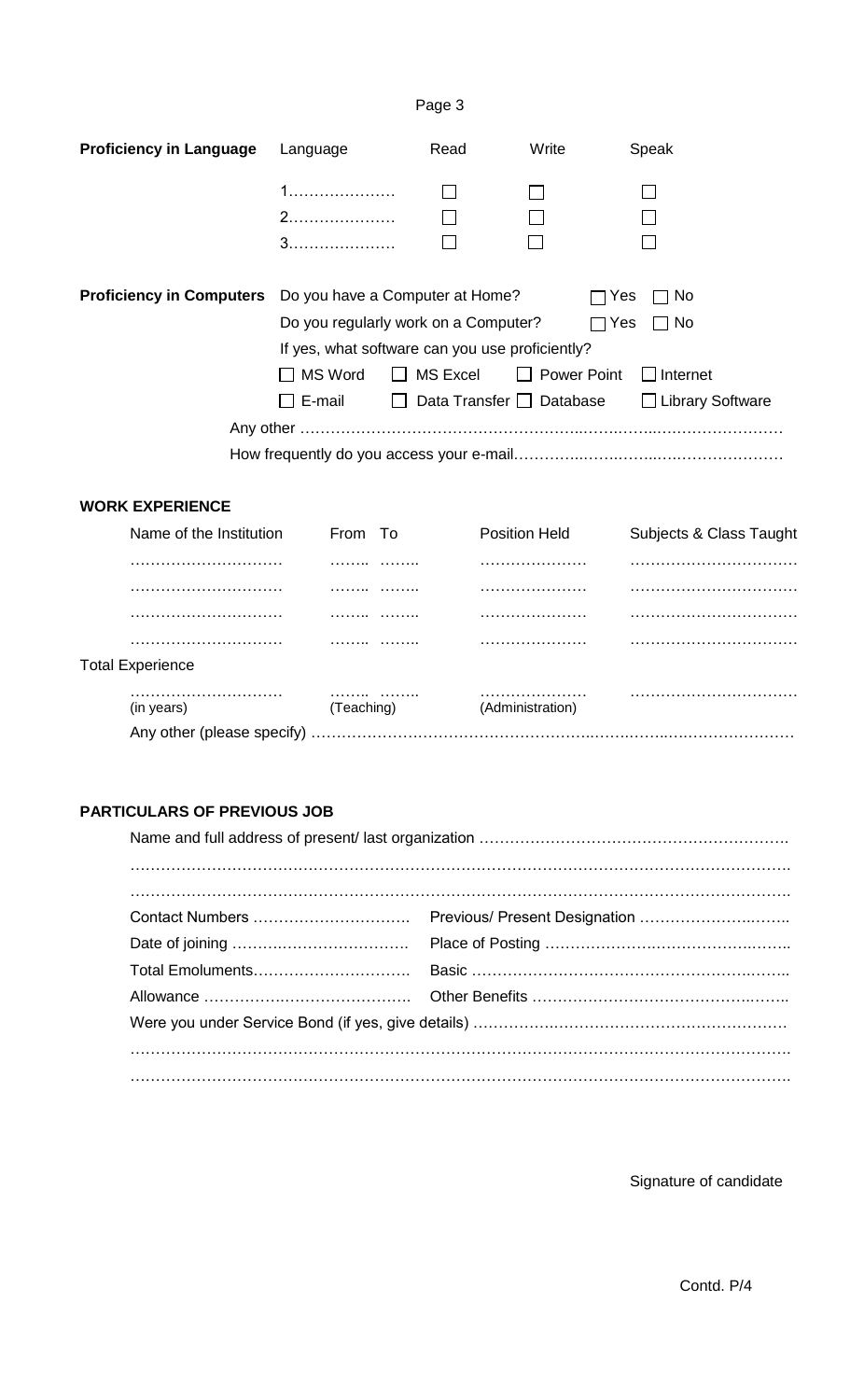## Page 3

| <b>Proficiency in Language</b>  | Language                                                 | Read | Write                              | Speak              |
|---------------------------------|----------------------------------------------------------|------|------------------------------------|--------------------|
|                                 |                                                          |      |                                    |                    |
|                                 |                                                          |      |                                    |                    |
|                                 |                                                          |      |                                    |                    |
|                                 |                                                          |      |                                    |                    |
| <b>Proficiency in Computers</b> | Do you have a Computer at Home?                          |      | Yes                                | No.                |
|                                 | Do you regularly work on a Computer?                     |      | $\Box$ Yes                         | No.                |
|                                 | If yes, what software can you use proficiently?          |      |                                    |                    |
|                                 | $\Box$ MS Word                                           |      | $\Box$ MS Excel $\Box$ Power Point | $\Box$ Internet    |
|                                 | $\Box$ E-mail $\hfill\Box$ Data Transfer $\Box$ Database |      |                                    | □ Library Software |
|                                 |                                                          |      |                                    |                    |
|                                 |                                                          |      |                                    |                    |

#### **WORK EXPERIENCE**

|                         | Name of the Institution    | From To    |   | <b>Position Held</b> |  | Subjects & Class Taught |
|-------------------------|----------------------------|------------|---|----------------------|--|-------------------------|
|                         |                            |            | . |                      |  |                         |
|                         |                            |            | . |                      |  |                         |
|                         |                            |            | . |                      |  |                         |
|                         |                            | .          | . |                      |  |                         |
| <b>Total Experience</b> |                            |            |   |                      |  |                         |
| (in years)              |                            | (Teaching) | . | (Administration)     |  |                         |
|                         | Any other (please specify) |            |   |                      |  |                         |

## **PARTICULARS OF PREVIOUS JOB**

Signature of candidate